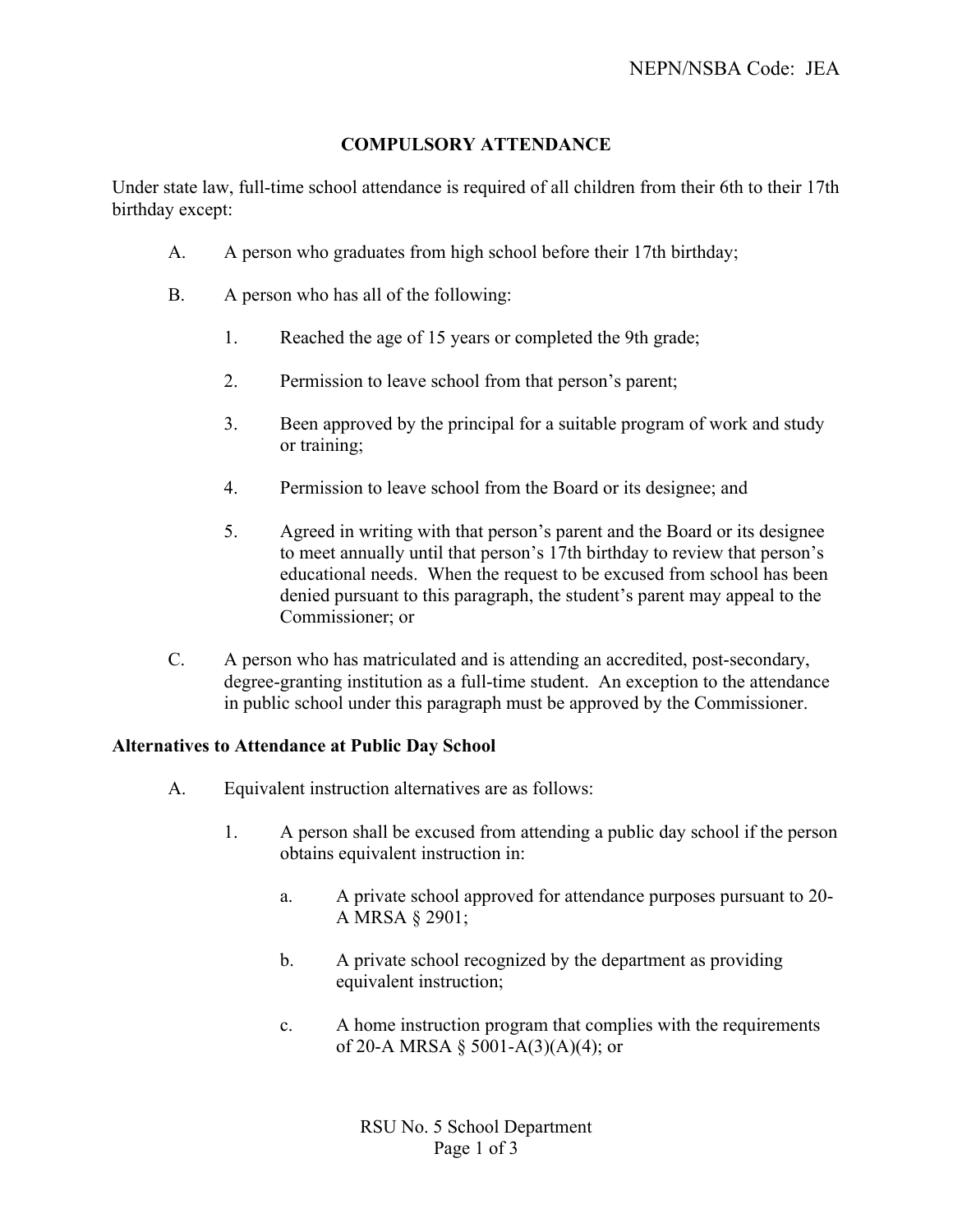# **COMPULSORY ATTENDANCE**

Under state law, full-time school attendance is required of all children from their 6th to their 17th birthday except:

- A. A person who graduates from high school before their 17th birthday;
- B. A person who has all of the following:
	- 1. Reached the age of 15 years or completed the 9th grade;
	- 2. Permission to leave school from that person's parent;
	- 3. Been approved by the principal for a suitable program of work and study or training;
	- 4. Permission to leave school from the Board or its designee; and
	- 5. Agreed in writing with that person's parent and the Board or its designee to meet annually until that person's 17th birthday to review that person's educational needs. When the request to be excused from school has been denied pursuant to this paragraph, the student's parent may appeal to the Commissioner; or
- C. A person who has matriculated and is attending an accredited, post-secondary, degree-granting institution as a full-time student. An exception to the attendance in public school under this paragraph must be approved by the Commissioner.

## **Alternatives to Attendance at Public Day School**

- A. Equivalent instruction alternatives are as follows:
	- 1. A person shall be excused from attending a public day school if the person obtains equivalent instruction in:
		- a. A private school approved for attendance purposes pursuant to 20- A MRSA § 2901;
		- b. A private school recognized by the department as providing equivalent instruction;
		- c. A home instruction program that complies with the requirements of 20-A MRSA § 5001-A(3)(A)(4); or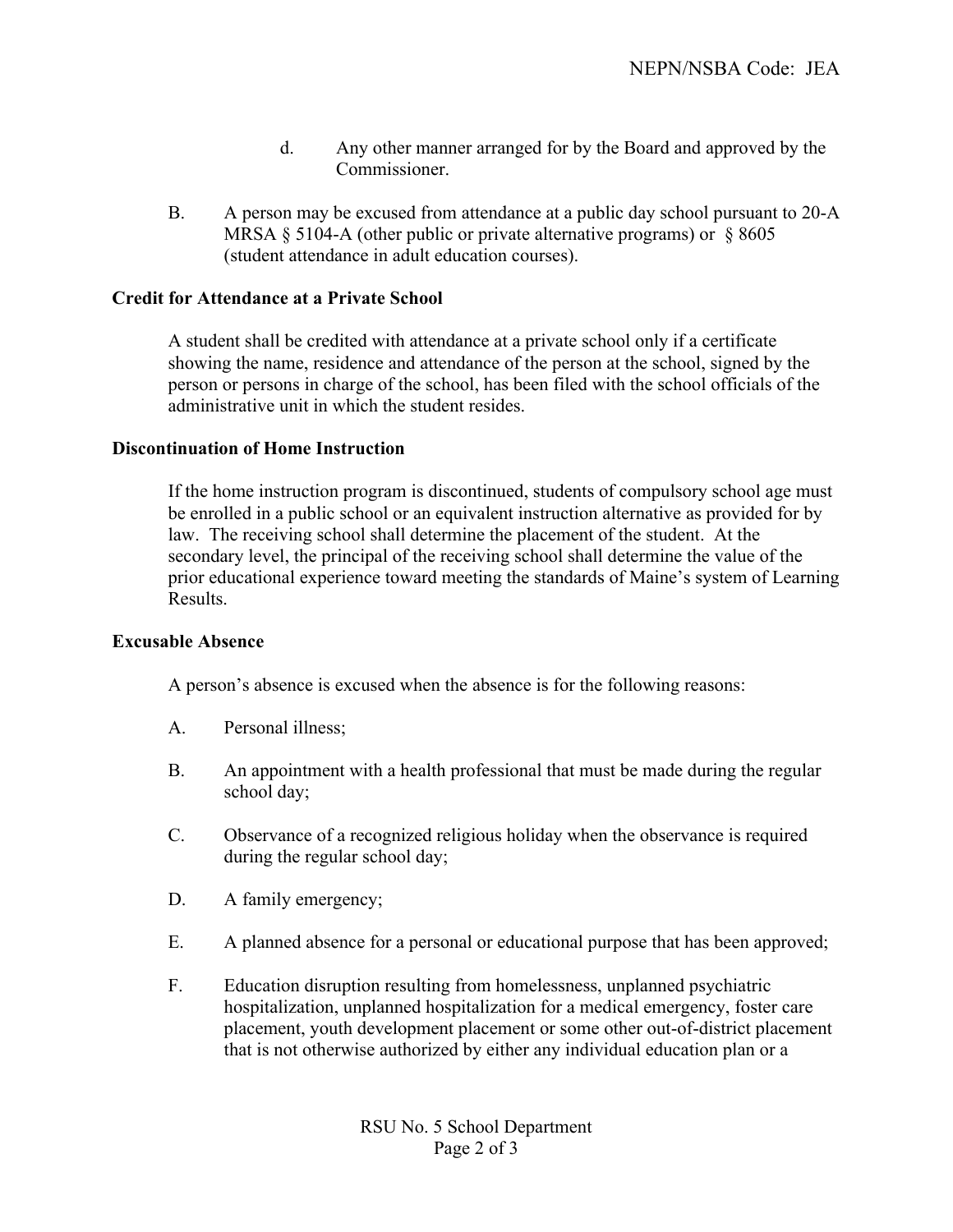- d. Any other manner arranged for by the Board and approved by the Commissioner.
- B. A person may be excused from attendance at a public day school pursuant to 20-A MRSA  $\S$  5104-A (other public or private alternative programs) or  $\S$  8605 (student attendance in adult education courses).

### **Credit for Attendance at a Private School**

A student shall be credited with attendance at a private school only if a certificate showing the name, residence and attendance of the person at the school, signed by the person or persons in charge of the school, has been filed with the school officials of the administrative unit in which the student resides.

#### **Discontinuation of Home Instruction**

If the home instruction program is discontinued, students of compulsory school age must be enrolled in a public school or an equivalent instruction alternative as provided for by law. The receiving school shall determine the placement of the student. At the secondary level, the principal of the receiving school shall determine the value of the prior educational experience toward meeting the standards of Maine's system of Learning Results.

### **Excusable Absence**

A person's absence is excused when the absence is for the following reasons:

- A. Personal illness;
- B. An appointment with a health professional that must be made during the regular school day;
- C. Observance of a recognized religious holiday when the observance is required during the regular school day;
- D. A family emergency;
- E. A planned absence for a personal or educational purpose that has been approved;
- F. Education disruption resulting from homelessness, unplanned psychiatric hospitalization, unplanned hospitalization for a medical emergency, foster care placement, youth development placement or some other out-of-district placement that is not otherwise authorized by either any individual education plan or a

RSU No. 5 School Department Page 2 of 3